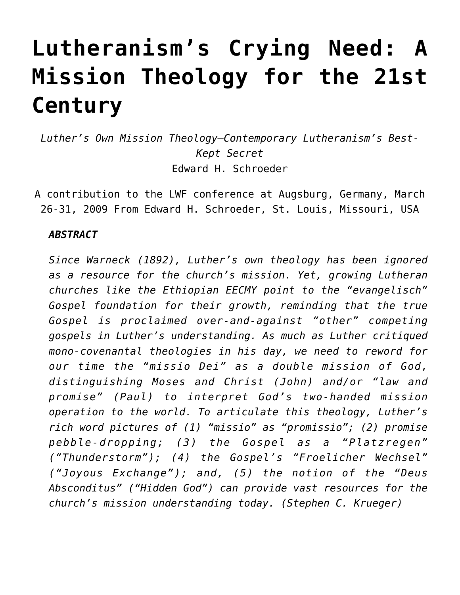# **[Lutheranism's Crying Need: A](https://crossings.org/lutheranisms-crying-need/) [Mission Theology for the 21st](https://crossings.org/lutheranisms-crying-need/) [Century](https://crossings.org/lutheranisms-crying-need/)**

*Luther's Own Mission Theology—Contemporary Lutheranism's Best-Kept Secret* Edward H. Schroeder

A contribution to the LWF conference at Augsburg, Germany, March 26-31, 2009 From Edward H. Schroeder, St. Louis, Missouri, USA

## *ABSTRACT*

*Since Warneck (1892), Luther's own theology has been ignored as a resource for the church's mission. Yet, growing Lutheran churches like the Ethiopian EECMY point to the "evangelisch" Gospel foundation for their growth, reminding that the true Gospel is proclaimed over-and-against "other" competing gospels in Luther's understanding. As much as Luther critiqued mono-covenantal theologies in his day, we need to reword for our time the "missio Dei" as a double mission of God, distinguishing Moses and Christ (John) and/or "law and promise" (Paul) to interpret God's two-handed mission operation to the world. To articulate this theology, Luther's rich word pictures of (1) "missio" as "promissio"; (2) promise pebble-dropping; (3) the Gospel as a "Platzregen" ("Thunderstorm"); (4) the Gospel's "Froelicher Wechsel" ("Joyous Exchange"); and, (5) the notion of the "Deus Absconditus" ("Hidden God") can provide vast resources for the church's mission understanding today. (Stephen C. Krueger)*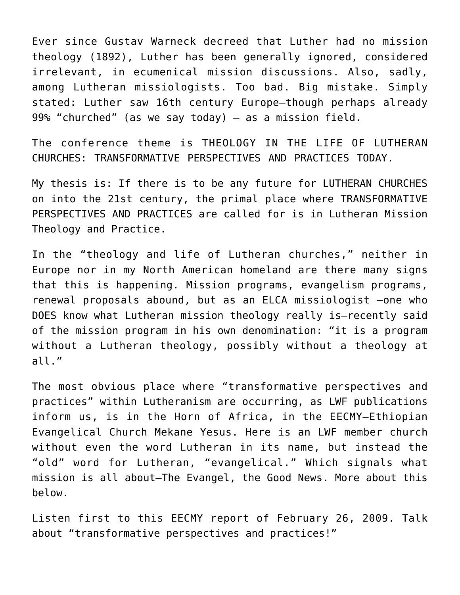Ever since Gustav Warneck decreed that Luther had no mission theology (1892), Luther has been generally ignored, considered irrelevant, in ecumenical mission discussions. Also, sadly, among Lutheran missiologists. Too bad. Big mistake. Simply stated: Luther saw 16th century Europe–though perhaps already 99% "churched" (as we say today) — as a mission field.

The conference theme is THEOLOGY IN THE LIFE OF LUTHERAN CHURCHES: TRANSFORMATIVE PERSPECTIVES AND PRACTICES TODAY.

My thesis is: If there is to be any future for LUTHERAN CHURCHES on into the 21st century, the primal place where TRANSFORMATIVE PERSPECTIVES AND PRACTICES are called for is in Lutheran Mission Theology and Practice.

In the "theology and life of Lutheran churches," neither in Europe nor in my North American homeland are there many signs that this is happening. Mission programs, evangelism programs, renewal proposals abound, but as an ELCA missiologist –one who DOES know what Lutheran mission theology really is–recently said of the mission program in his own denomination: "it is a program without a Lutheran theology, possibly without a theology at all."

The most obvious place where "transformative perspectives and practices" within Lutheranism are occurring, as LWF publications inform us, is in the Horn of Africa, in the EECMY—Ethiopian Evangelical Church Mekane Yesus. Here is an LWF member church without even the word Lutheran in its name, but instead the "old" word for Lutheran, "evangelical." Which signals what mission is all about–The Evangel, the Good News. More about this below.

Listen first to this EECMY report of February 26, 2009. Talk about "transformative perspectives and practices!"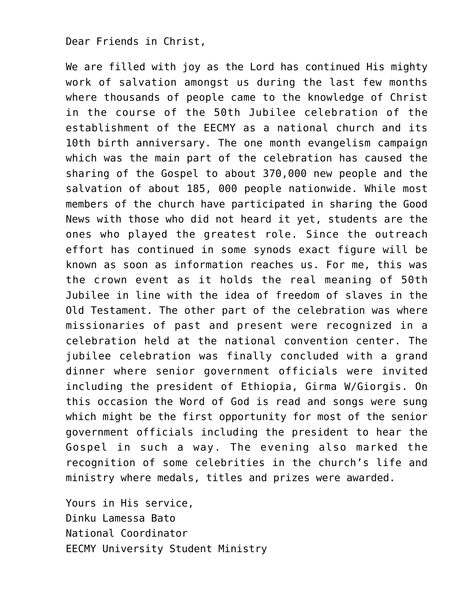### Dear Friends in Christ,

We are filled with joy as the Lord has continued His mighty work of salvation amongst us during the last few months where thousands of people came to the knowledge of Christ in the course of the 50th Jubilee celebration of the establishment of the EECMY as a national church and its 10th birth anniversary. The one month evangelism campaign which was the main part of the celebration has caused the sharing of the Gospel to about 370,000 new people and the salvation of about 185, 000 people nationwide. While most members of the church have participated in sharing the Good News with those who did not heard it yet, students are the ones who played the greatest role. Since the outreach effort has continued in some synods exact figure will be known as soon as information reaches us. For me, this was the crown event as it holds the real meaning of 50th Jubilee in line with the idea of freedom of slaves in the Old Testament. The other part of the celebration was where missionaries of past and present were recognized in a celebration held at the national convention center. The jubilee celebration was finally concluded with a grand dinner where senior government officials were invited including the president of Ethiopia, Girma W/Giorgis. On this occasion the Word of God is read and songs were sung which might be the first opportunity for most of the senior government officials including the president to hear the Gospel in such a way. The evening also marked the recognition of some celebrities in the church's life and ministry where medals, titles and prizes were awarded.

Yours in His service, Dinku Lamessa Bato National Coordinator EECMY University Student Ministry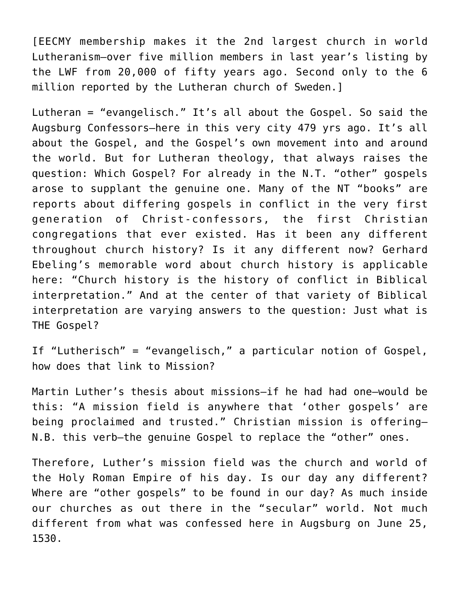[EECMY membership makes it the 2nd largest church in world Lutheranism–over five million members in last year's listing by the LWF from 20,000 of fifty years ago. Second only to the 6 million reported by the Lutheran church of Sweden.]

Lutheran = "evangelisch." It's all about the Gospel. So said the Augsburg Confessors–here in this very city 479 yrs ago. It's all about the Gospel, and the Gospel's own movement into and around the world. But for Lutheran theology, that always raises the question: Which Gospel? For already in the N.T. "other" gospels arose to supplant the genuine one. Many of the NT "books" are reports about differing gospels in conflict in the very first generation of Christ-confessors, the first Christian congregations that ever existed. Has it been any different throughout church history? Is it any different now? Gerhard Ebeling's memorable word about church history is applicable here: "Church history is the history of conflict in Biblical interpretation." And at the center of that variety of Biblical interpretation are varying answers to the question: Just what is THE Gospel?

If "Lutherisch" = "evangelisch," a particular notion of Gospel, how does that link to Mission?

Martin Luther's thesis about missions–if he had had one–would be this: "A mission field is anywhere that 'other gospels' are being proclaimed and trusted." Christian mission is offering– N.B. this verb–the genuine Gospel to replace the "other" ones.

Therefore, Luther's mission field was the church and world of the Holy Roman Empire of his day. Is our day any different? Where are "other gospels" to be found in our day? As much inside our churches as out there in the "secular" world. Not much different from what was confessed here in Augsburg on June 25, 1530.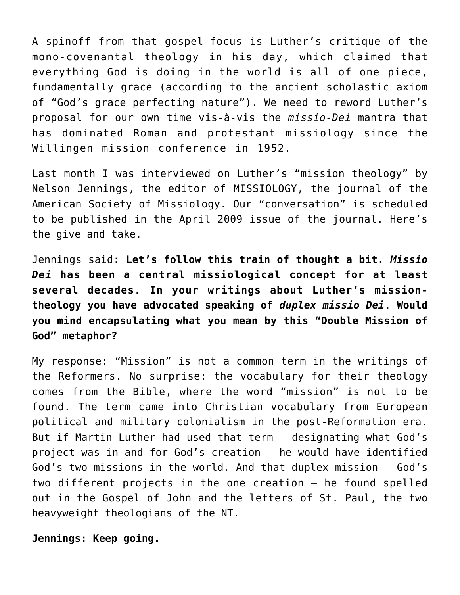A spinoff from that gospel-focus is Luther's critique of the mono-covenantal theology in his day, which claimed that everything God is doing in the world is all of one piece, fundamentally grace (according to the ancient scholastic axiom of "God's grace perfecting nature"). We need to reword Luther's proposal for our own time vis-à-vis the *missio-Dei* mantra that has dominated Roman and protestant missiology since the Willingen mission conference in 1952.

Last month I was interviewed on Luther's "mission theology" by Nelson Jennings, the editor of MISSIOLOGY, the journal of the American Society of Missiology. Our "conversation" is scheduled to be published in the April 2009 issue of the journal. Here's the give and take.

Jennings said: **Let's follow this train of thought a bit.** *Missio Dei* **has been a central missiological concept for at least several decades. In your writings about Luther's missiontheology you have advocated speaking of** *duplex missio Dei***. Would you mind encapsulating what you mean by this "Double Mission of God" metaphor?**

My response: "Mission" is not a common term in the writings of the Reformers. No surprise: the vocabulary for their theology comes from the Bible, where the word "mission" is not to be found. The term came into Christian vocabulary from European political and military colonialism in the post-Reformation era. But if Martin Luther had used that term – designating what God's project was in and for God's creation – he would have identified God's two missions in the world. And that duplex mission – God's two different projects in the one creation – he found spelled out in the Gospel of John and the letters of St. Paul, the two heavyweight theologians of the NT.

**Jennings: Keep going.**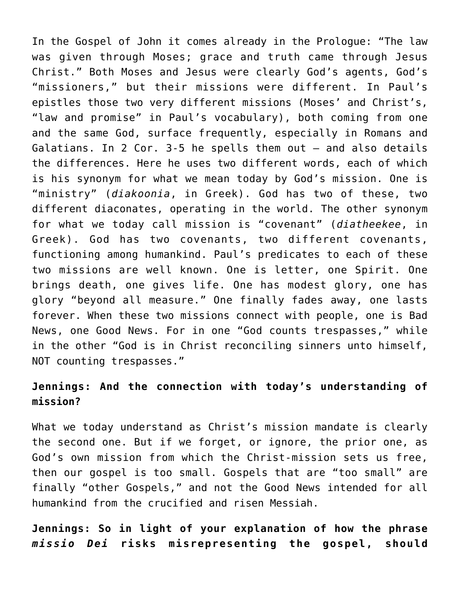In the Gospel of John it comes already in the Prologue: "The law was given through Moses; grace and truth came through Jesus Christ." Both Moses and Jesus were clearly God's agents, God's "missioners," but their missions were different. In Paul's epistles those two very different missions (Moses' and Christ's, "law and promise" in Paul's vocabulary), both coming from one and the same God, surface frequently, especially in Romans and Galatians. In 2 Cor. 3-5 he spells them out – and also details the differences. Here he uses two different words, each of which is his synonym for what we mean today by God's mission. One is "ministry" (*diakoonia*, in Greek). God has two of these, two different diaconates, operating in the world. The other synonym for what we today call mission is "covenant" (*diatheekee*, in Greek). God has two covenants, two different covenants, functioning among humankind. Paul's predicates to each of these two missions are well known. One is letter, one Spirit. One brings death, one gives life. One has modest glory, one has glory "beyond all measure." One finally fades away, one lasts forever. When these two missions connect with people, one is Bad News, one Good News. For in one "God counts trespasses," while in the other "God is in Christ reconciling sinners unto himself, NOT counting trespasses."

# **Jennings: And the connection with today's understanding of mission?**

What we today understand as Christ's mission mandate is clearly the second one. But if we forget, or ignore, the prior one, as God's own mission from which the Christ-mission sets us free, then our gospel is too small. Gospels that are "too small" are finally "other Gospels," and not the Good News intended for all humankind from the crucified and risen Messiah.

**Jennings: So in light of your explanation of how the phrase** *missio Dei* **risks misrepresenting the gospel, should**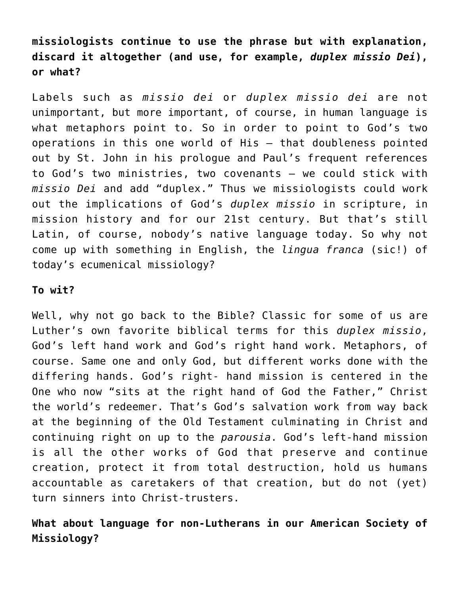**missiologists continue to use the phrase but with explanation, discard it altogether (and use, for example,** *duplex missio Dei***), or what?**

Labels such as *missio dei* or *duplex missio dei* are not unimportant, but more important, of course, in human language is what metaphors point to. So in order to point to God's two operations in this one world of His – that doubleness pointed out by St. John in his prologue and Paul's frequent references to God's two ministries, two covenants – we could stick with *missio Dei* and add "duplex." Thus we missiologists could work out the implications of God's *duplex missio* in scripture, in mission history and for our 21st century. But that's still Latin, of course, nobody's native language today. So why not come up with something in English, the *lingua franca* (sic!) of today's ecumenical missiology?

#### **To wit?**

Well, why not go back to the Bible? Classic for some of us are Luther's own favorite biblical terms for this *duplex missio*, God's left hand work and God's right hand work. Metaphors, of course. Same one and only God, but different works done with the differing hands. God's right- hand mission is centered in the One who now "sits at the right hand of God the Father," Christ the world's redeemer. That's God's salvation work from way back at the beginning of the Old Testament culminating in Christ and continuing right on up to the *parousia*. God's left-hand mission is all the other works of God that preserve and continue creation, protect it from total destruction, hold us humans accountable as caretakers of that creation, but do not (yet) turn sinners into Christ-trusters.

# **What about language for non-Lutherans in our American Society of Missiology?**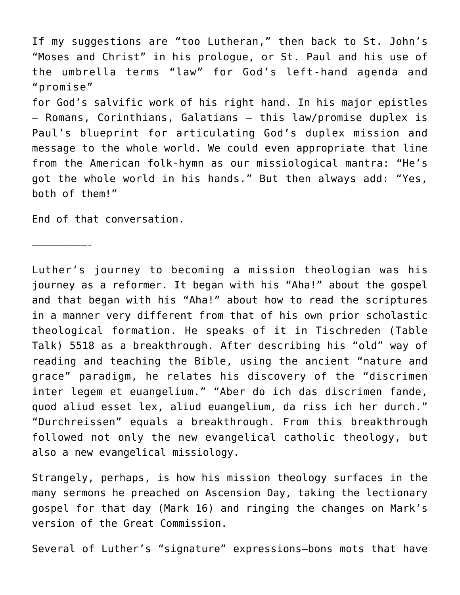If my suggestions are "too Lutheran," then back to St. John's "Moses and Christ" in his prologue, or St. Paul and his use of the umbrella terms "law" for God's left-hand agenda and "promise" for God's salvific work of his right hand. In his major epistles – Romans, Corinthians, Galatians – this law/promise duplex is Paul's blueprint for articulating God's duplex mission and message to the whole world. We could even appropriate that line from the American folk-hymn as our missiological mantra: "He's got the whole world in his hands." But then always add: "Yes, both of them!"

End of that conversation.

—————————-

Luther's journey to becoming a mission theologian was his journey as a reformer. It began with his "Aha!" about the gospel and that began with his "Aha!" about how to read the scriptures in a manner very different from that of his own prior scholastic theological formation. He speaks of it in Tischreden (Table Talk) 5518 as a breakthrough. After describing his "old" way of reading and teaching the Bible, using the ancient "nature and grace" paradigm, he relates his discovery of the "discrimen inter legem et euangelium." "Aber do ich das discrimen fande, quod aliud esset lex, aliud euangelium, da riss ich her durch." "Durchreissen" equals a breakthrough. From this breakthrough followed not only the new evangelical catholic theology, but also a new evangelical missiology.

Strangely, perhaps, is how his mission theology surfaces in the many sermons he preached on Ascension Day, taking the lectionary gospel for that day (Mark 16) and ringing the changes on Mark's version of the Great Commission.

Several of Luther's "signature" expressions–bons mots that have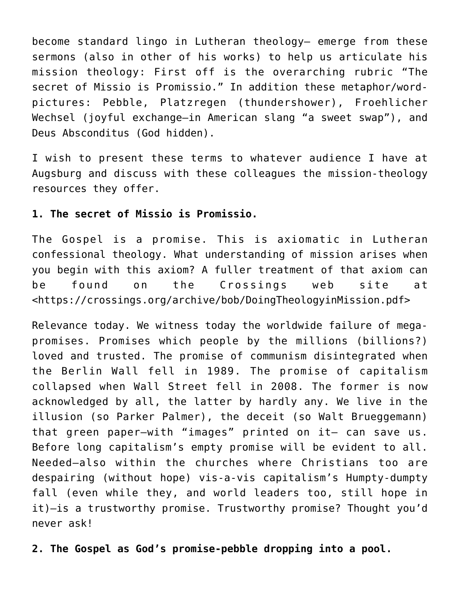become standard lingo in Lutheran theology– emerge from these sermons (also in other of his works) to help us articulate his mission theology: First off is the overarching rubric "The secret of Missio is Promissio." In addition these metaphor/wordpictures: Pebble, Platzregen (thundershower), Froehlicher Wechsel (joyful exchange–in American slang "a sweet swap"), and Deus Absconditus (God hidden).

I wish to present these terms to whatever audience I have at Augsburg and discuss with these colleagues the mission-theology resources they offer.

## **1. The secret of Missio is Promissio.**

The Gospel is a promise. This is axiomatic in Lutheran confessional theology. What understanding of mission arises when you begin with this axiom? A fuller treatment of that axiom can be found on the Crossings web site at <https://crossings.org/archive/bob/DoingTheologyinMission.pdf>

Relevance today. We witness today the worldwide failure of megapromises. Promises which people by the millions (billions?) loved and trusted. The promise of communism disintegrated when the Berlin Wall fell in 1989. The promise of capitalism collapsed when Wall Street fell in 2008. The former is now acknowledged by all, the latter by hardly any. We live in the illusion (so Parker Palmer), the deceit (so Walt Brueggemann) that green paper–with "images" printed on it– can save us. Before long capitalism's empty promise will be evident to all. Needed–also within the churches where Christians too are despairing (without hope) vis-a-vis capitalism's Humpty-dumpty fall (even while they, and world leaders too, still hope in it)–is a trustworthy promise. Trustworthy promise? Thought you'd never ask!

**2. The Gospel as God's promise-pebble dropping into a pool.**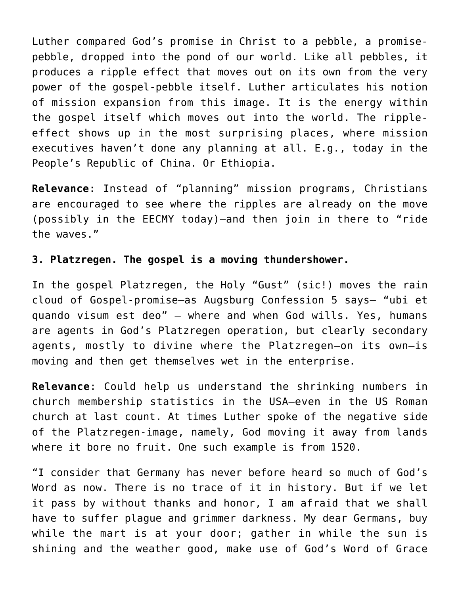Luther compared God's promise in Christ to a pebble, a promisepebble, dropped into the pond of our world. Like all pebbles, it produces a ripple effect that moves out on its own from the very power of the gospel-pebble itself. Luther articulates his notion of mission expansion from this image. It is the energy within the gospel itself which moves out into the world. The rippleeffect shows up in the most surprising places, where mission executives haven't done any planning at all. E.g., today in the People's Republic of China. Or Ethiopia.

**Relevance**: Instead of "planning" mission programs, Christians are encouraged to see where the ripples are already on the move (possibly in the EECMY today)–and then join in there to "ride the waves."

# **3. Platzregen. The gospel is a moving thundershower.**

In the gospel Platzregen, the Holy "Gust" (sic!) moves the rain cloud of Gospel-promise–as Augsburg Confession 5 says– "ubi et quando visum est deo" — where and when God wills. Yes, humans are agents in God's Platzregen operation, but clearly secondary agents, mostly to divine where the Platzregen–on its own–is moving and then get themselves wet in the enterprise.

**Relevance**: Could help us understand the shrinking numbers in church membership statistics in the USA–even in the US Roman church at last count. At times Luther spoke of the negative side of the Platzregen-image, namely, God moving it away from lands where it bore no fruit. One such example is from 1520.

"I consider that Germany has never before heard so much of God's Word as now. There is no trace of it in history. But if we let it pass by without thanks and honor, I am afraid that we shall have to suffer plague and grimmer darkness. My dear Germans, buy while the mart is at your door; gather in while the sun is shining and the weather good, make use of God's Word of Grace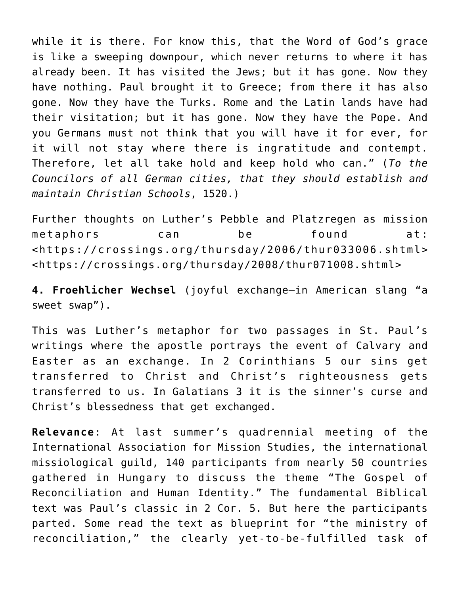while it is there. For know this, that the Word of God's grace is like a sweeping downpour, which never returns to where it has already been. It has visited the Jews; but it has gone. Now they have nothing. Paul brought it to Greece; from there it has also gone. Now they have the Turks. Rome and the Latin lands have had their visitation; but it has gone. Now they have the Pope. And you Germans must not think that you will have it for ever, for it will not stay where there is ingratitude and contempt. Therefore, let all take hold and keep hold who can." (*To the Councilors of all German cities, that they should establish and maintain Christian Schools*, 1520.)

Further thoughts on Luther's Pebble and Platzregen as mission metaphors can be found at: <https://crossings.org/thursday/2006/thur033006.shtml> <https://crossings.org/thursday/2008/thur071008.shtml>

**4. Froehlicher Wechsel** (joyful exchange–in American slang "a sweet swap").

This was Luther's metaphor for two passages in St. Paul's writings where the apostle portrays the event of Calvary and Easter as an exchange. In 2 Corinthians 5 our sins get transferred to Christ and Christ's righteousness gets transferred to us. In Galatians 3 it is the sinner's curse and Christ's blessedness that get exchanged.

**Relevance**: At last summer's quadrennial meeting of the International Association for Mission Studies, the international missiological guild, 140 participants from nearly 50 countries gathered in Hungary to discuss the theme "The Gospel of Reconciliation and Human Identity." The fundamental Biblical text was Paul's classic in 2 Cor. 5. But here the participants parted. Some read the text as blueprint for "the ministry of reconciliation," the clearly yet-to-be-fulfilled task of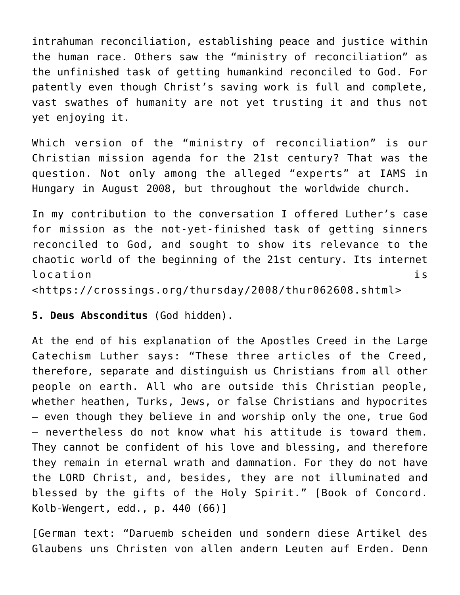intrahuman reconciliation, establishing peace and justice within the human race. Others saw the "ministry of reconciliation" as the unfinished task of getting humankind reconciled to God. For patently even though Christ's saving work is full and complete, vast swathes of humanity are not yet trusting it and thus not yet enjoying it.

Which version of the "ministry of reconciliation" is our Christian mission agenda for the 21st century? That was the question. Not only among the alleged "experts" at IAMS in Hungary in August 2008, but throughout the worldwide church.

In my contribution to the conversation I offered Luther's case for mission as the not-yet-finished task of getting sinners reconciled to God, and sought to show its relevance to the chaotic world of the beginning of the 21st century. Its internet location is <https://crossings.org/thursday/2008/thur062608.shtml>

**5. Deus Absconditus** (God hidden).

At the end of his explanation of the Apostles Creed in the Large Catechism Luther says: "These three articles of the Creed, therefore, separate and distinguish us Christians from all other people on earth. All who are outside this Christian people, whether heathen, Turks, Jews, or false Christians and hypocrites — even though they believe in and worship only the one, true God — nevertheless do not know what his attitude is toward them. They cannot be confident of his love and blessing, and therefore they remain in eternal wrath and damnation. For they do not have the LORD Christ, and, besides, they are not illuminated and blessed by the gifts of the Holy Spirit." [Book of Concord. Kolb-Wengert, edd., p. 440 (66)]

[German text: "Daruemb scheiden und sondern diese Artikel des Glaubens uns Christen von allen andern Leuten auf Erden. Denn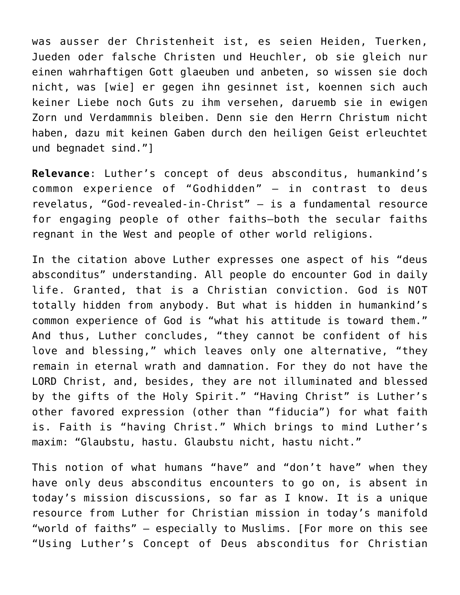was ausser der Christenheit ist, es seien Heiden, Tuerken, Jueden oder falsche Christen und Heuchler, ob sie gleich nur einen wahrhaftigen Gott glaeuben und anbeten, so wissen sie doch nicht, was [wie] er gegen ihn gesinnet ist, koennen sich auch keiner Liebe noch Guts zu ihm versehen, daruemb sie in ewigen Zorn und Verdammnis bleiben. Denn sie den Herrn Christum nicht haben, dazu mit keinen Gaben durch den heiligen Geist erleuchtet und begnadet sind."]

**Relevance**: Luther's concept of deus absconditus, humankind's common experience of "Godhidden" — in contrast to deus revelatus, "God-revealed-in-Christ" — is a fundamental resource for engaging people of other faiths–both the secular faiths regnant in the West and people of other world religions.

In the citation above Luther expresses one aspect of his "deus absconditus" understanding. All people do encounter God in daily life. Granted, that is a Christian conviction. God is NOT totally hidden from anybody. But what is hidden in humankind's common experience of God is "what his attitude is toward them." And thus, Luther concludes, "they cannot be confident of his love and blessing," which leaves only one alternative, "they remain in eternal wrath and damnation. For they do not have the LORD Christ, and, besides, they are not illuminated and blessed by the gifts of the Holy Spirit." "Having Christ" is Luther's other favored expression (other than "fiducia") for what faith is. Faith is "having Christ." Which brings to mind Luther's maxim: "Glaubstu, hastu. Glaubstu nicht, hastu nicht."

This notion of what humans "have" and "don't have" when they have only deus absconditus encounters to go on, is absent in today's mission discussions, so far as I know. It is a unique resource from Luther for Christian mission in today's manifold "world of faiths" — especially to Muslims. [For more on this see "Using Luther's Concept of Deus absconditus for Christian